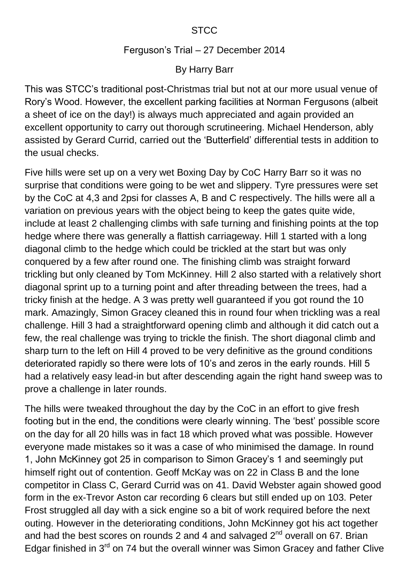## Ferguson's Trial – 27 December 2014

## By Harry Barr

This was STCC's traditional post-Christmas trial but not at our more usual venue of Rory's Wood. However, the excellent parking facilities at Norman Fergusons (albeit a sheet of ice on the day!) is always much appreciated and again provided an excellent opportunity to carry out thorough scrutineering. Michael Henderson, ably assisted by Gerard Currid, carried out the 'Butterfield' differential tests in addition to the usual checks.

Five hills were set up on a very wet Boxing Day by CoC Harry Barr so it was no surprise that conditions were going to be wet and slippery. Tyre pressures were set by the CoC at 4,3 and 2psi for classes A, B and C respectively. The hills were all a variation on previous years with the object being to keep the gates quite wide, include at least 2 challenging climbs with safe turning and finishing points at the top hedge where there was generally a flattish carriageway. Hill 1 started with a long diagonal climb to the hedge which could be trickled at the start but was only conquered by a few after round one. The finishing climb was straight forward trickling but only cleaned by Tom McKinney. Hill 2 also started with a relatively short diagonal sprint up to a turning point and after threading between the trees, had a tricky finish at the hedge. A 3 was pretty well guaranteed if you got round the 10 mark. Amazingly, Simon Gracey cleaned this in round four when trickling was a real challenge. Hill 3 had a straightforward opening climb and although it did catch out a few, the real challenge was trying to trickle the finish. The short diagonal climb and sharp turn to the left on Hill 4 proved to be very definitive as the ground conditions deteriorated rapidly so there were lots of 10's and zeros in the early rounds. Hill 5 had a relatively easy lead-in but after descending again the right hand sweep was to prove a challenge in later rounds.

The hills were tweaked throughout the day by the CoC in an effort to give fresh footing but in the end, the conditions were clearly winning. The 'best' possible score on the day for all 20 hills was in fact 18 which proved what was possible. However everyone made mistakes so it was a case of who minimised the damage. In round 1, John McKinney got 25 in comparison to Simon Gracey's 1 and seemingly put himself right out of contention. Geoff McKay was on 22 in Class B and the lone competitor in Class C, Gerard Currid was on 41. David Webster again showed good form in the ex-Trevor Aston car recording 6 clears but still ended up on 103. Peter Frost struggled all day with a sick engine so a bit of work required before the next outing. However in the deteriorating conditions, John McKinney got his act together and had the best scores on rounds 2 and 4 and salvaged  $2^{nd}$  overall on 67. Brian Edgar finished in  $3^{rd}$  on 74 but the overall winner was Simon Gracey and father Clive